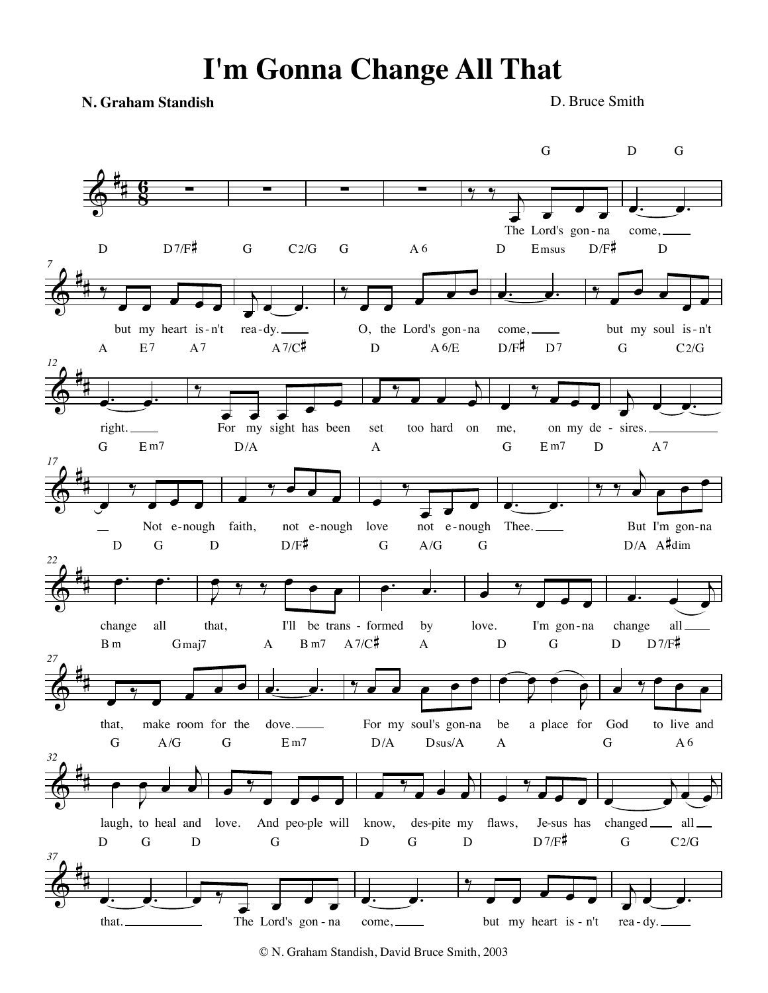## **I'm Gonna Change All That**

**N. Graham Standish**

D. Bruce Smith



© N. Graham Standish, David Bruce Smith, 2003